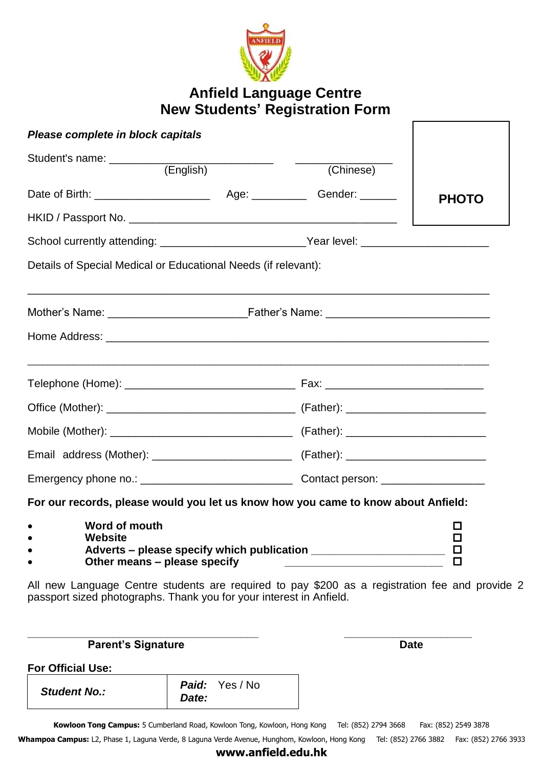

# **Anfield Language Centre New Students' Registration Form**

| Please complete in block capitals                                                                                                                                     |  |  |                       |  |
|-----------------------------------------------------------------------------------------------------------------------------------------------------------------------|--|--|-----------------------|--|
| Student's name: ___________<br>(English)<br>(Chinese)                                                                                                                 |  |  |                       |  |
|                                                                                                                                                                       |  |  | <b>PHOTO</b>          |  |
|                                                                                                                                                                       |  |  |                       |  |
| School currently attending: ___________________________Year level: ____________________                                                                               |  |  |                       |  |
| Details of Special Medical or Educational Needs (if relevant):                                                                                                        |  |  |                       |  |
|                                                                                                                                                                       |  |  |                       |  |
|                                                                                                                                                                       |  |  |                       |  |
|                                                                                                                                                                       |  |  |                       |  |
|                                                                                                                                                                       |  |  |                       |  |
|                                                                                                                                                                       |  |  |                       |  |
|                                                                                                                                                                       |  |  |                       |  |
|                                                                                                                                                                       |  |  |                       |  |
| For our records, please would you let us know how you came to know about Anfield:                                                                                     |  |  |                       |  |
| Word of mouth<br><b>Website</b><br>Adverts – please specify which publication<br>Other means – please specify                                                         |  |  | ◻<br>□<br>口<br>$\Box$ |  |
| All new Language Centre students are required to pay \$200 as a registration fee and provide 2<br>passport sized photographs. Thank you for your interest in Anfield. |  |  |                       |  |

**Parent's Signature Date For Official Use:** *Student No.: Paid:* Yes / No *Date:* 

Kowloon Tong Campus: 5 Cumberland Road, Kowloon Tong, Kowloon, Hong Kong Tel: (852) 2794 3668 Fax: (852) 2549 3878

**\_\_\_\_\_\_\_\_\_\_\_\_\_\_\_\_\_\_\_\_\_\_\_\_\_\_\_\_\_\_\_\_\_\_\_\_\_\_ \_\_\_\_\_\_\_\_\_\_\_\_\_\_\_\_\_\_\_\_\_** 

Whampoa Campus: L2, Phase 1, Laguna Verde, 8 Laguna Verde Avenue, Hunghom, Kowloon, Hong Kong Tel: (852) 2766 3882 Fax: (852) 2766 3933